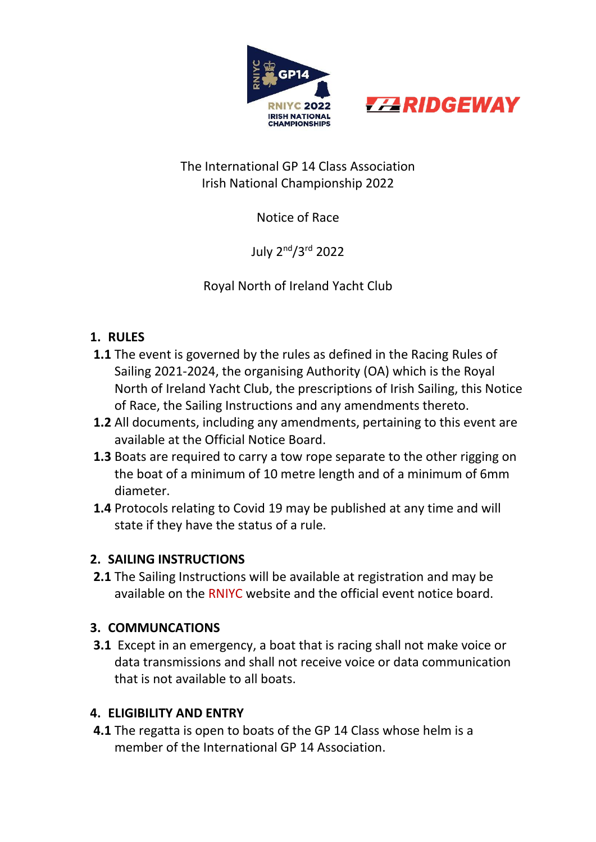



## The International GP 14 Class Association Irish National Championship 2022

# Notice of Race

July 2nd/3rd 2022

Royal North of Ireland Yacht Club

# **1. RULES**

- **1.1** The event is governed by the rules as defined in the Racing Rules of Sailing 2021-2024, the organising Authority (OA) which is the Royal North of Ireland Yacht Club, the prescriptions of Irish Sailing, this Notice of Race, the Sailing Instructions and any amendments thereto.
- **1.2** All documents, including any amendments, pertaining to this event are available at the Official Notice Board.
- **1.3** Boats are required to carry a tow rope separate to the other rigging on the boat of a minimum of 10 metre length and of a minimum of 6mm diameter.
- **1.4** Protocols relating to Covid 19 may be published at any time and will state if they have the status of a rule.

## **2. SAILING INSTRUCTIONS**

**2.1** The Sailing Instructions will be available at registration and may be available on the RNIYC website and the official event notice board.

# **3. COMMUNCATIONS**

**3.1** Except in an emergency, a boat that is racing shall not make voice or data transmissions and shall not receive voice or data communication that is not available to all boats.

# **4. ELIGIBILITY AND ENTRY**

**4.1** The regatta is open to boats of the GP 14 Class whose helm is a member of the International GP 14 Association.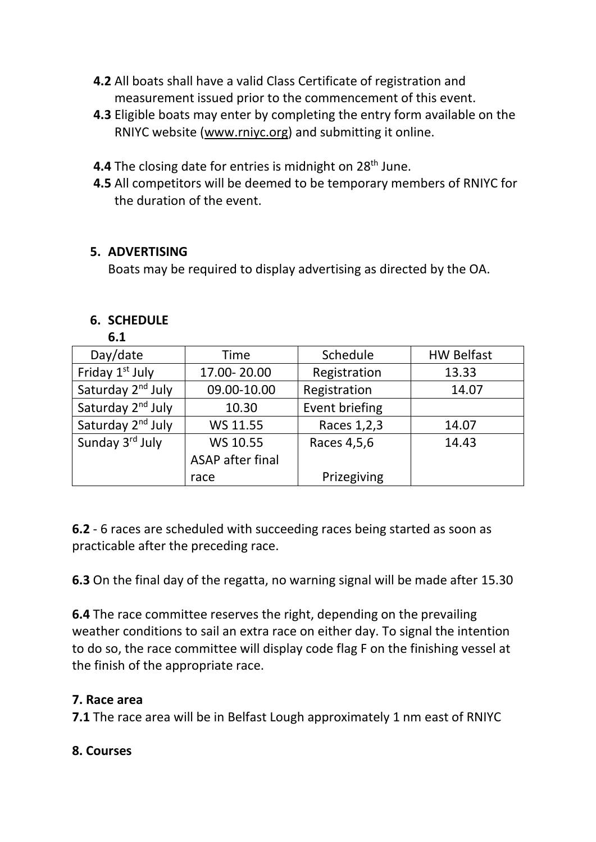- **4.2** All boats shall have a valid Class Certificate of registration and measurement issued prior to the commencement of this event.
- **4.3** Eligible boats may enter by completing the entry form available on the RNIYC website [\(www.rniyc.org\)](http://www.rniyc.org/) and submitting it online.
- **4.4** The closing date for entries is midnight on 28<sup>th</sup> June.
- **4.5** All competitors will be deemed to be temporary members of RNIYC for the duration of the event.

### **5. ADVERTISING**

Boats may be required to display advertising as directed by the OA.

#### **6. SCHEDULE**

**6.1**

| 0.1                           |                  |                |                   |
|-------------------------------|------------------|----------------|-------------------|
| Day/date                      | <b>Time</b>      | Schedule       | <b>HW Belfast</b> |
| Friday 1 <sup>st</sup> July   | 17.00-20.00      | Registration   | 13.33             |
| Saturday 2 <sup>nd</sup> July | 09.00-10.00      | Registration   | 14.07             |
| Saturday 2 <sup>nd</sup> July | 10.30            | Event briefing |                   |
| Saturday 2 <sup>nd</sup> July | WS 11.55         | Races 1, 2, 3  | 14.07             |
| Sunday 3rd July               | WS 10.55         | Races 4,5,6    | 14.43             |
|                               | ASAP after final |                |                   |
|                               | race             | Prizegiving    |                   |

**6.2** - 6 races are scheduled with succeeding races being started as soon as practicable after the preceding race.

**6.3** On the final day of the regatta, no warning signal will be made after 15.30

**6.4** The race committee reserves the right, depending on the prevailing weather conditions to sail an extra race on either day. To signal the intention to do so, the race committee will display code flag F on the finishing vessel at the finish of the appropriate race.

### **7. Race area**

**7.1** The race area will be in Belfast Lough approximately 1 nm east of RNIYC

### **8. Courses**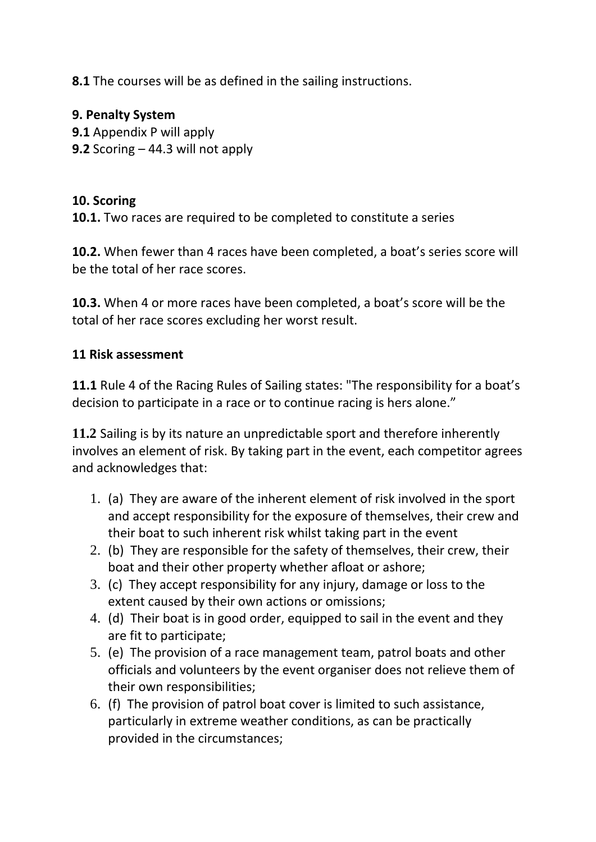**8.1** The courses will be as defined in the sailing instructions.

### **9. Penalty System**

**9.1** Appendix P will apply **9.2** Scoring – 44.3 will not apply

### **10. Scoring**

**10.1.** Two races are required to be completed to constitute a series

**10.2.** When fewer than 4 races have been completed, a boat's series score will be the total of her race scores.

**10.3.** When 4 or more races have been completed, a boat's score will be the total of her race scores excluding her worst result.

#### **11 Risk assessment**

**11.1** Rule 4 of the Racing Rules of Sailing states: "The responsibility for a boat's decision to participate in a race or to continue racing is hers alone."

**11.2** Sailing is by its nature an unpredictable sport and therefore inherently involves an element of risk. By taking part in the event, each competitor agrees and acknowledges that:

- 1. (a) They are aware of the inherent element of risk involved in the sport and accept responsibility for the exposure of themselves, their crew and their boat to such inherent risk whilst taking part in the event
- 2. (b) They are responsible for the safety of themselves, their crew, their boat and their other property whether afloat or ashore;
- 3. (c) They accept responsibility for any injury, damage or loss to the extent caused by their own actions or omissions;
- 4. (d) Their boat is in good order, equipped to sail in the event and they are fit to participate;
- 5. (e) The provision of a race management team, patrol boats and other officials and volunteers by the event organiser does not relieve them of their own responsibilities;
- 6. (f) The provision of patrol boat cover is limited to such assistance, particularly in extreme weather conditions, as can be practically provided in the circumstances;